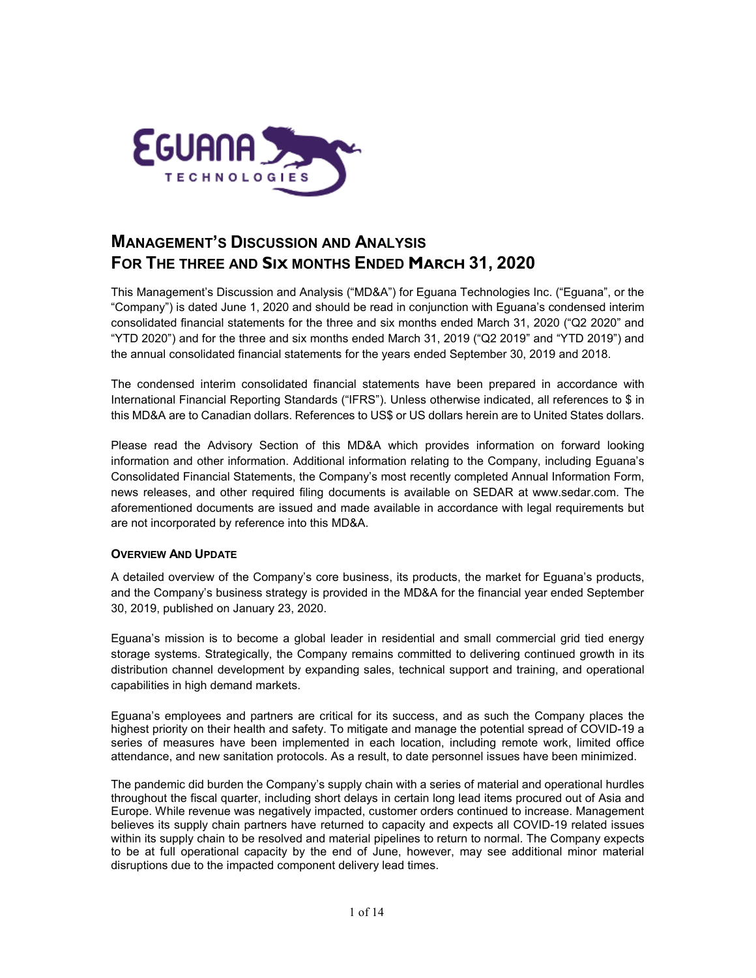

# **MANAGEMENT'S DISCUSSION AND ANALYSIS FOR THE THREE AND SIX MONTHS ENDED MARCH 31, 2020**

This Management's Discussion and Analysis ("MD&A") for Eguana Technologies Inc. ("Eguana", or the "Company") is dated June 1, 2020 and should be read in conjunction with Eguana's condensed interim consolidated financial statements for the three and six months ended March 31, 2020 ("Q2 2020" and "YTD 2020") and for the three and six months ended March 31, 2019 ("Q2 2019" and "YTD 2019") and the annual consolidated financial statements for the years ended September 30, 2019 and 2018.

The condensed interim consolidated financial statements have been prepared in accordance with International Financial Reporting Standards ("IFRS"). Unless otherwise indicated, all references to \$ in this MD&A are to Canadian dollars. References to US\$ or US dollars herein are to United States dollars.

Please read the Advisory Section of this MD&A which provides information on forward looking information and other information. Additional information relating to the Company, including Eguana's Consolidated Financial Statements, the Company's most recently completed Annual Information Form, news releases, and other required filing documents is available on SEDAR at [www.sedar.com.](http://www.sedar.com/) The aforementioned documents are issued and made available in accordance with legal requirements but are not incorporated by reference into this MD&A.

#### **OVERVIEW AND UPDATE**

A detailed overview of the Company's core business, its products, the market for Eguana's products, and the Company's business strategy is provided in the MD&A for the financial year ended September 30, 2019, published on January 23, 2020.

Eguana's mission is to become a global leader in residential and small commercial grid tied energy storage systems. Strategically, the Company remains committed to delivering continued growth in its distribution channel development by expanding sales, technical support and training, and operational capabilities in high demand markets.

Eguana's employees and partners are critical for its success, and as such the Company places the highest priority on their health and safety. To mitigate and manage the potential spread of COVID-19 a series of measures have been implemented in each location, including remote work, limited office attendance, and new sanitation protocols. As a result, to date personnel issues have been minimized.

The pandemic did burden the Company's supply chain with a series of material and operational hurdles throughout the fiscal quarter, including short delays in certain long lead items procured out of Asia and Europe. While revenue was negatively impacted, customer orders continued to increase. Management believes its supply chain partners have returned to capacity and expects all COVID-19 related issues within its supply chain to be resolved and material pipelines to return to normal. The Company expects to be at full operational capacity by the end of June, however, may see additional minor material disruptions due to the impacted component delivery lead times.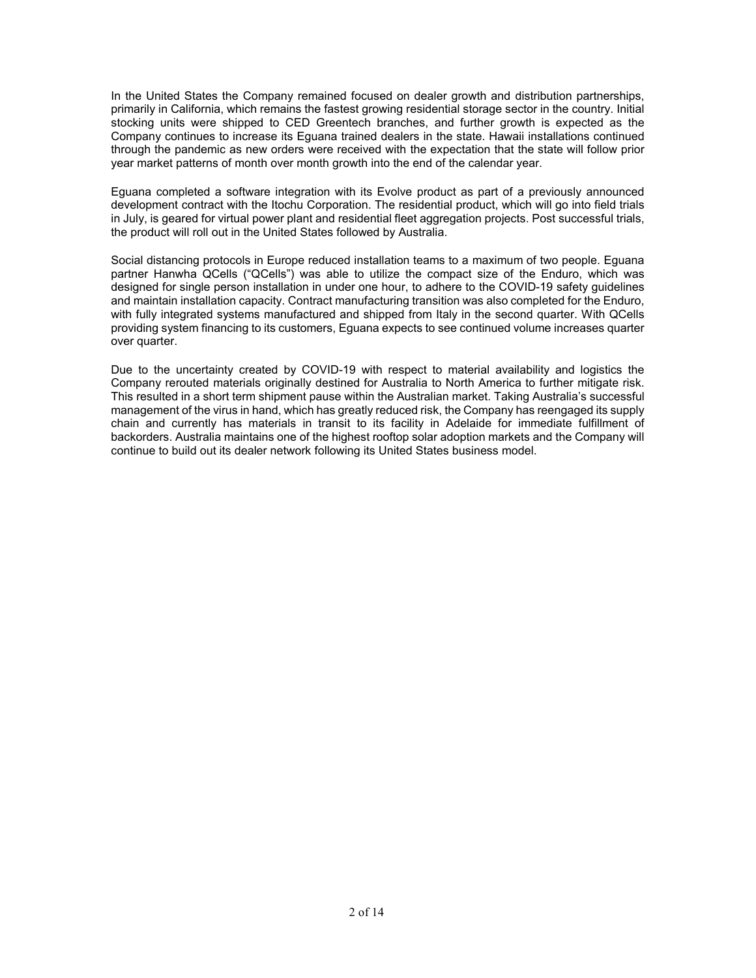In the United States the Company remained focused on dealer growth and distribution partnerships, primarily in California, which remains the fastest growing residential storage sector in the country. Initial stocking units were shipped to CED Greentech branches, and further growth is expected as the Company continues to increase its Eguana trained dealers in the state. Hawaii installations continued through the pandemic as new orders were received with the expectation that the state will follow prior year market patterns of month over month growth into the end of the calendar year.

Eguana completed a software integration with its Evolve product as part of a previously announced development contract with the Itochu Corporation. The residential product, which will go into field trials in July, is geared for virtual power plant and residential fleet aggregation projects. Post successful trials, the product will roll out in the United States followed by Australia.

Social distancing protocols in Europe reduced installation teams to a maximum of two people. Eguana partner Hanwha QCells ("QCells") was able to utilize the compact size of the Enduro, which was designed for single person installation in under one hour, to adhere to the COVID-19 safety guidelines and maintain installation capacity. Contract manufacturing transition was also completed for the Enduro, with fully integrated systems manufactured and shipped from Italy in the second quarter. With QCells providing system financing to its customers, Eguana expects to see continued volume increases quarter over quarter.

Due to the uncertainty created by COVID-19 with respect to material availability and logistics the Company rerouted materials originally destined for Australia to North America to further mitigate risk. This resulted in a short term shipment pause within the Australian market. Taking Australia's successful management of the virus in hand, which has greatly reduced risk, the Company has reengaged its supply chain and currently has materials in transit to its facility in Adelaide for immediate fulfillment of backorders. Australia maintains one of the highest rooftop solar adoption markets and the Company will continue to build out its dealer network following its United States business model.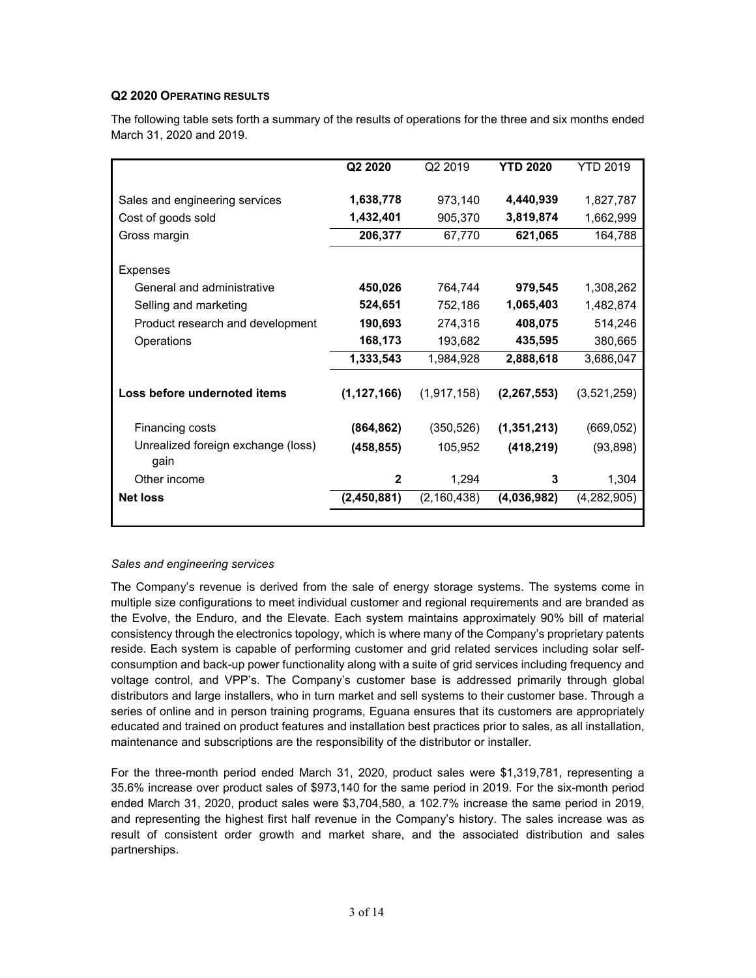## **Q2 2020 OPERATING RESULTS**

|                                            | Q2 2020       | Q2 2019       | <b>YTD 2020</b> | YTD 2019    |
|--------------------------------------------|---------------|---------------|-----------------|-------------|
| Sales and engineering services             | 1,638,778     | 973,140       | 4,440,939       | 1,827,787   |
| Cost of goods sold                         | 1,432,401     | 905,370       | 3,819,874       | 1,662,999   |
| Gross margin                               | 206,377       | 67,770        | 621,065         | 164,788     |
|                                            |               |               |                 |             |
| Expenses                                   |               |               |                 |             |
| General and administrative                 | 450,026       | 764,744       | 979,545         | 1,308,262   |
| Selling and marketing                      | 524,651       | 752,186       | 1,065,403       | 1,482,874   |
| Product research and development           | 190,693       | 274,316       | 408,075         | 514,246     |
| Operations                                 | 168,173       | 193,682       | 435,595         | 380,665     |
|                                            | 1,333,543     | 1,984,928     | 2,888,618       | 3,686,047   |
| Loss before undernoted items               | (1, 127, 166) | (1, 917, 158) | (2, 267, 553)   | (3,521,259) |
| Financing costs                            | (864, 862)    | (350, 526)    | (1, 351, 213)   | (669, 052)  |
| Unrealized foreign exchange (loss)<br>gain | (458, 855)    | 105,952       | (418, 219)      | (93, 898)   |
| Other income                               | $\mathbf{2}$  | 1,294         | 3               | 1,304       |
| <b>Net loss</b>                            | (2,450,881)   | (2, 160, 438) | (4,036,982)     | (4,282,905) |
|                                            |               |               |                 |             |

The following table sets forth a summary of the results of operations for the three and six months ended March 31, 2020 and 2019.

# *Sales and engineering services*

The Company's revenue is derived from the sale of energy storage systems. The systems come in multiple size configurations to meet individual customer and regional requirements and are branded as the Evolve, the Enduro, and the Elevate. Each system maintains approximately 90% bill of material consistency through the electronics topology, which is where many of the Company's proprietary patents reside. Each system is capable of performing customer and grid related services including solar selfconsumption and back-up power functionality along with a suite of grid services including frequency and voltage control, and VPP's. The Company's customer base is addressed primarily through global distributors and large installers, who in turn market and sell systems to their customer base. Through a series of online and in person training programs, Eguana ensures that its customers are appropriately educated and trained on product features and installation best practices prior to sales, as all installation, maintenance and subscriptions are the responsibility of the distributor or installer.

For the three-month period ended March 31, 2020, product sales were \$1,319,781, representing a 35.6% increase over product sales of \$973,140 for the same period in 2019. For the six-month period ended March 31, 2020, product sales were \$3,704,580, a 102.7% increase the same period in 2019, and representing the highest first half revenue in the Company's history. The sales increase was as result of consistent order growth and market share, and the associated distribution and sales partnerships.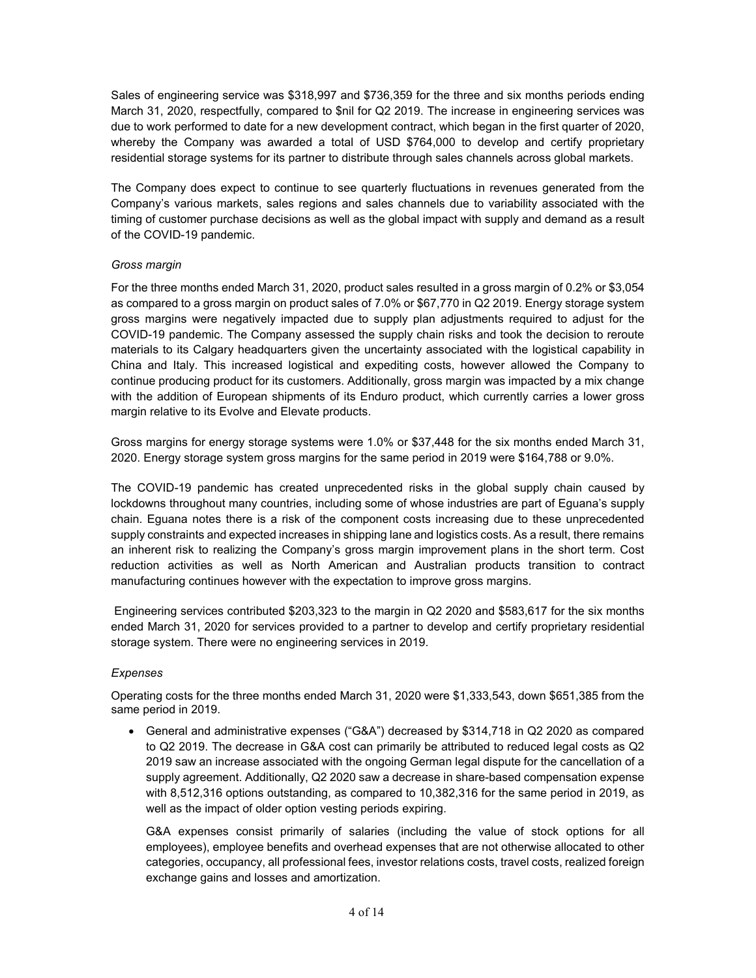Sales of engineering service was \$318,997 and \$736,359 for the three and six months periods ending March 31, 2020, respectfully, compared to \$nil for Q2 2019. The increase in engineering services was due to work performed to date for a new development contract, which began in the first quarter of 2020, whereby the Company was awarded a total of USD \$764,000 to develop and certify proprietary residential storage systems for its partner to distribute through sales channels across global markets.

The Company does expect to continue to see quarterly fluctuations in revenues generated from the Company's various markets, sales regions and sales channels due to variability associated with the timing of customer purchase decisions as well as the global impact with supply and demand as a result of the COVID-19 pandemic.

## *Gross margin*

For the three months ended March 31, 2020, product sales resulted in a gross margin of 0.2% or \$3,054 as compared to a gross margin on product sales of 7.0% or \$67,770 in Q2 2019. Energy storage system gross margins were negatively impacted due to supply plan adjustments required to adjust for the COVID-19 pandemic. The Company assessed the supply chain risks and took the decision to reroute materials to its Calgary headquarters given the uncertainty associated with the logistical capability in China and Italy. This increased logistical and expediting costs, however allowed the Company to continue producing product for its customers. Additionally, gross margin was impacted by a mix change with the addition of European shipments of its Enduro product, which currently carries a lower gross margin relative to its Evolve and Elevate products.

Gross margins for energy storage systems were 1.0% or \$37,448 for the six months ended March 31, 2020. Energy storage system gross margins for the same period in 2019 were \$164,788 or 9.0%.

The COVID-19 pandemic has created unprecedented risks in the global supply chain caused by lockdowns throughout many countries, including some of whose industries are part of Eguana's supply chain. Eguana notes there is a risk of the component costs increasing due to these unprecedented supply constraints and expected increases in shipping lane and logistics costs. As a result, there remains an inherent risk to realizing the Company's gross margin improvement plans in the short term. Cost reduction activities as well as North American and Australian products transition to contract manufacturing continues however with the expectation to improve gross margins.

Engineering services contributed \$203,323 to the margin in Q2 2020 and \$583,617 for the six months ended March 31, 2020 for services provided to a partner to develop and certify proprietary residential storage system. There were no engineering services in 2019.

#### *Expenses*

Operating costs for the three months ended March 31, 2020 were \$1,333,543, down \$651,385 from the same period in 2019.

• General and administrative expenses ("G&A") decreased by \$314,718 in Q2 2020 as compared to Q2 2019. The decrease in G&A cost can primarily be attributed to reduced legal costs as Q2 2019 saw an increase associated with the ongoing German legal dispute for the cancellation of a supply agreement. Additionally, Q2 2020 saw a decrease in share-based compensation expense with 8,512,316 options outstanding, as compared to 10,382,316 for the same period in 2019, as well as the impact of older option vesting periods expiring.

G&A expenses consist primarily of salaries (including the value of stock options for all employees), employee benefits and overhead expenses that are not otherwise allocated to other categories, occupancy, all professional fees, investor relations costs, travel costs, realized foreign exchange gains and losses and amortization.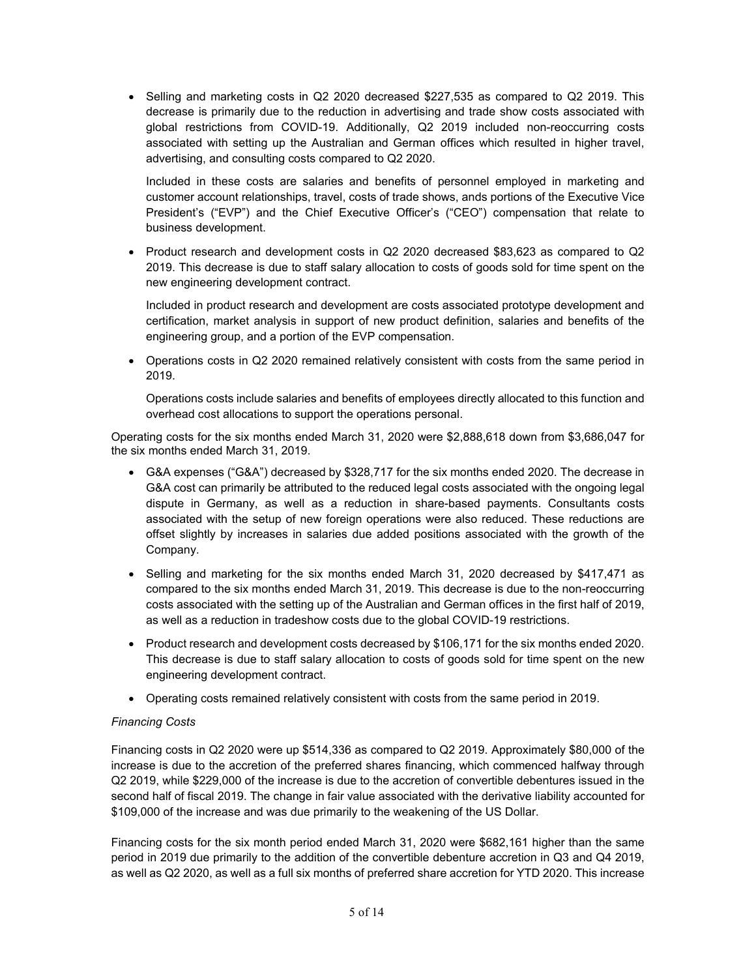• Selling and marketing costs in Q2 2020 decreased \$227,535 as compared to Q2 2019. This decrease is primarily due to the reduction in advertising and trade show costs associated with global restrictions from COVID-19. Additionally, Q2 2019 included non-reoccurring costs associated with setting up the Australian and German offices which resulted in higher travel, advertising, and consulting costs compared to Q2 2020.

Included in these costs are salaries and benefits of personnel employed in marketing and customer account relationships, travel, costs of trade shows, ands portions of the Executive Vice President's ("EVP") and the Chief Executive Officer's ("CEO") compensation that relate to business development.

• Product research and development costs in Q2 2020 decreased \$83,623 as compared to Q2 2019. This decrease is due to staff salary allocation to costs of goods sold for time spent on the new engineering development contract.

Included in product research and development are costs associated prototype development and certification, market analysis in support of new product definition, salaries and benefits of the engineering group, and a portion of the EVP compensation.

• Operations costs in Q2 2020 remained relatively consistent with costs from the same period in 2019.

Operations costs include salaries and benefits of employees directly allocated to this function and overhead cost allocations to support the operations personal.

Operating costs for the six months ended March 31, 2020 were \$2,888,618 down from \$3,686,047 for the six months ended March 31, 2019.

- G&A expenses ("G&A") decreased by \$328,717 for the six months ended 2020. The decrease in G&A cost can primarily be attributed to the reduced legal costs associated with the ongoing legal dispute in Germany, as well as a reduction in share-based payments. Consultants costs associated with the setup of new foreign operations were also reduced. These reductions are offset slightly by increases in salaries due added positions associated with the growth of the Company.
- Selling and marketing for the six months ended March 31, 2020 decreased by \$417,471 as compared to the six months ended March 31, 2019. This decrease is due to the non-reoccurring costs associated with the setting up of the Australian and German offices in the first half of 2019, as well as a reduction in tradeshow costs due to the global COVID-19 restrictions.
- Product research and development costs decreased by \$106,171 for the six months ended 2020. This decrease is due to staff salary allocation to costs of goods sold for time spent on the new engineering development contract.
- Operating costs remained relatively consistent with costs from the same period in 2019.

#### *Financing Costs*

Financing costs in Q2 2020 were up \$514,336 as compared to Q2 2019. Approximately \$80,000 of the increase is due to the accretion of the preferred shares financing, which commenced halfway through Q2 2019, while \$229,000 of the increase is due to the accretion of convertible debentures issued in the second half of fiscal 2019. The change in fair value associated with the derivative liability accounted for \$109,000 of the increase and was due primarily to the weakening of the US Dollar.

Financing costs for the six month period ended March 31, 2020 were \$682,161 higher than the same period in 2019 due primarily to the addition of the convertible debenture accretion in Q3 and Q4 2019, as well as Q2 2020, as well as a full six months of preferred share accretion for YTD 2020. This increase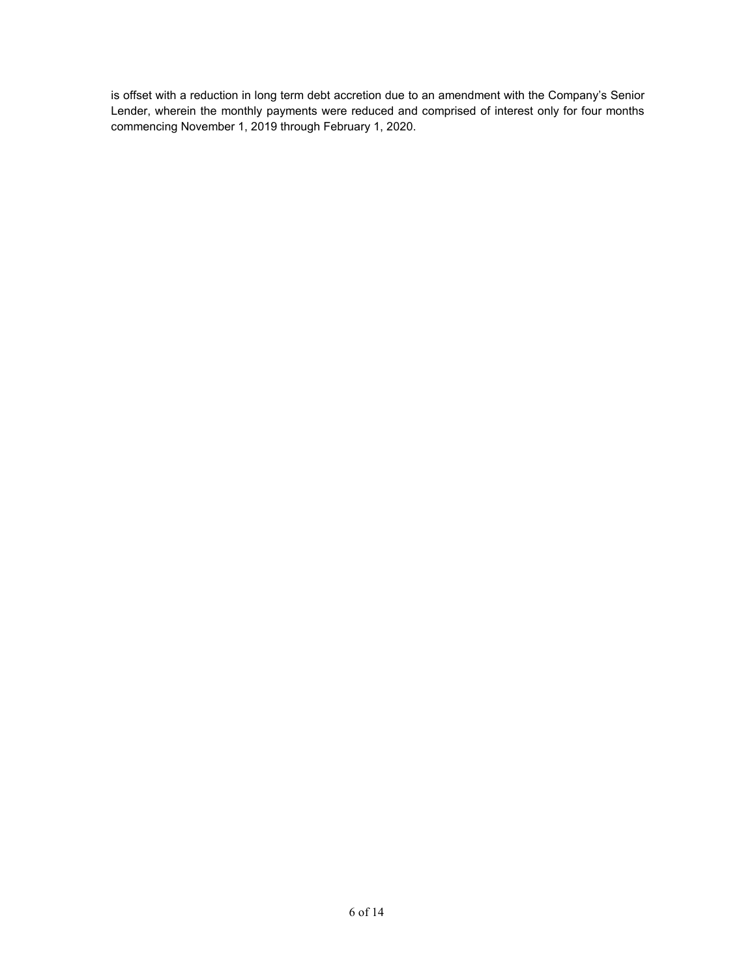is offset with a reduction in long term debt accretion due to an amendment with the Company's Senior Lender, wherein the monthly payments were reduced and comprised of interest only for four months commencing November 1, 2019 through February 1, 2020.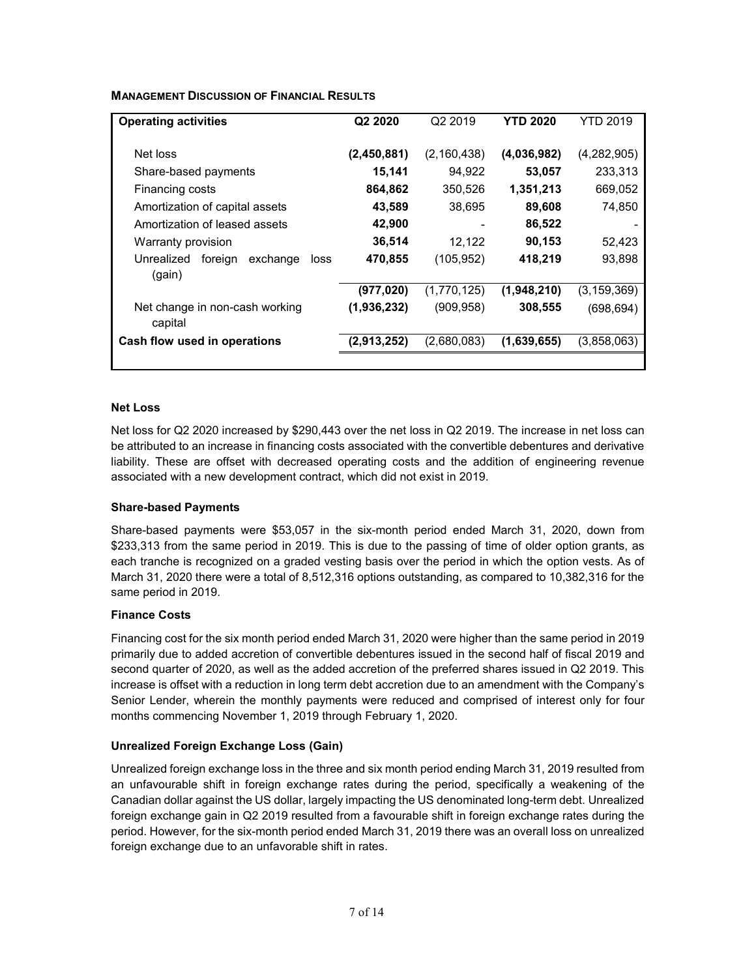**MANAGEMENT DISCUSSION OF FINANCIAL RESULTS** 

| <b>Operating activities</b>                         | Q2 2020     | Q <sub>2</sub> 2019 | <b>YTD 2020</b> | <b>YTD 2019</b> |
|-----------------------------------------------------|-------------|---------------------|-----------------|-----------------|
| Net loss                                            | (2,450,881) | (2, 160, 438)       | (4,036,982)     | (4,282,905)     |
| Share-based payments                                | 15,141      | 94,922              | 53,057          | 233,313         |
| Financing costs                                     | 864,862     | 350.526             | 1,351,213       | 669,052         |
| Amortization of capital assets                      | 43,589      | 38.695              | 89,608          | 74,850          |
| Amortization of leased assets                       | 42,900      |                     | 86,522          |                 |
| Warranty provision                                  | 36,514      | 12,122              | 90,153          | 52,423          |
| Unrealized<br>foreign<br>exchange<br>loss<br>(gain) | 470,855     | (105, 952)          | 418,219         | 93,898          |
|                                                     | (977, 020)  | (1,770,125)         | (1,948,210)     | (3, 159, 369)   |
| Net change in non-cash working<br>capital           | (1,936,232) | (909, 958)          | 308,555         | (698, 694)      |
| Cash flow used in operations                        | (2,913,252) | (2,680,083)         | (1,639,655)     | (3.858.063)     |
|                                                     |             |                     |                 |                 |

#### **Net Loss**

Net loss for Q2 2020 increased by \$290,443 over the net loss in Q2 2019. The increase in net loss can be attributed to an increase in financing costs associated with the convertible debentures and derivative liability. These are offset with decreased operating costs and the addition of engineering revenue associated with a new development contract, which did not exist in 2019.

#### **Share-based Payments**

Share-based payments were \$53,057 in the six-month period ended March 31, 2020, down from \$233,313 from the same period in 2019. This is due to the passing of time of older option grants, as each tranche is recognized on a graded vesting basis over the period in which the option vests. As of March 31, 2020 there were a total of 8,512,316 options outstanding, as compared to 10,382,316 for the same period in 2019.

# **Finance Costs**

Financing cost for the six month period ended March 31, 2020 were higher than the same period in 2019 primarily due to added accretion of convertible debentures issued in the second half of fiscal 2019 and second quarter of 2020, as well as the added accretion of the preferred shares issued in Q2 2019. This increase is offset with a reduction in long term debt accretion due to an amendment with the Company's Senior Lender, wherein the monthly payments were reduced and comprised of interest only for four months commencing November 1, 2019 through February 1, 2020.

# **Unrealized Foreign Exchange Loss (Gain)**

Unrealized foreign exchange loss in the three and six month period ending March 31, 2019 resulted from an unfavourable shift in foreign exchange rates during the period, specifically a weakening of the Canadian dollar against the US dollar, largely impacting the US denominated long-term debt. Unrealized foreign exchange gain in Q2 2019 resulted from a favourable shift in foreign exchange rates during the period. However, for the six-month period ended March 31, 2019 there was an overall loss on unrealized foreign exchange due to an unfavorable shift in rates.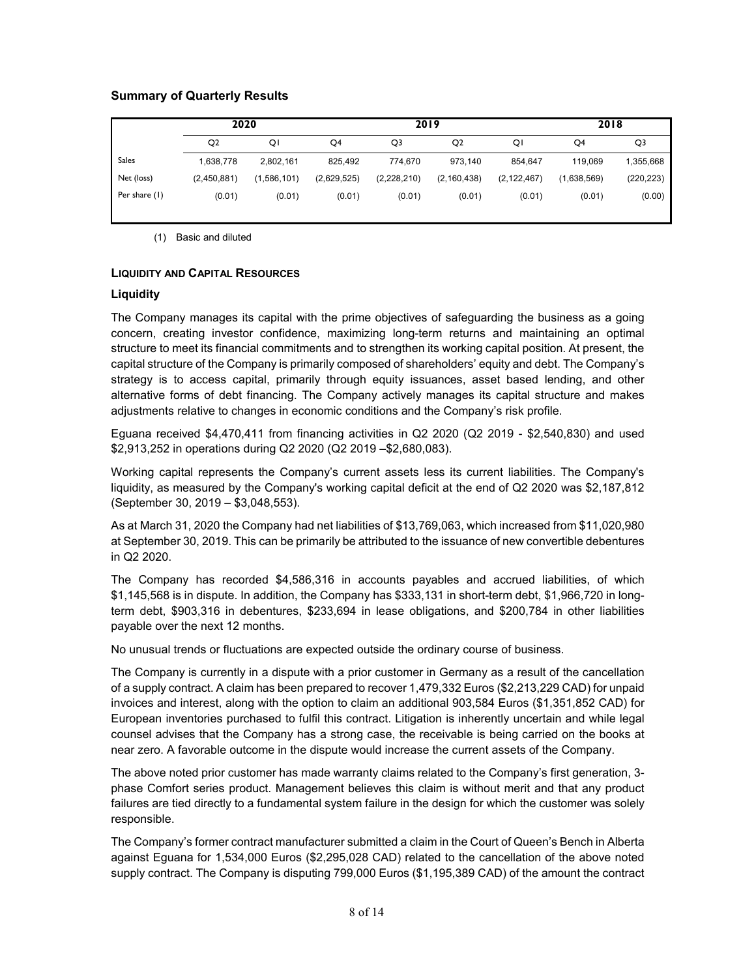# **Summary of Quarterly Results**

|               | 2020           |             | 2019        |             |                | 2018          |             |            |
|---------------|----------------|-------------|-------------|-------------|----------------|---------------|-------------|------------|
|               | Q <sub>2</sub> | ΟI          | Q4          | Q3          | Q <sub>2</sub> | ΟI            | Q4          | Q3         |
| <b>Sales</b>  | 1,638,778      | 2,802,161   | 825.492     | 774.670     | 973.140        | 854.647       | 119.069     | 1,355,668  |
| Net (loss)    | (2,450,881)    | (1,586,101) | (2,629,525) | (2,228,210) | (2, 160, 438)  | (2, 122, 467) | (1,638,569) | (220, 223) |
| Per share (1) | (0.01)         | (0.01)      | (0.01)      | (0.01)      | (0.01)         | (0.01)        | (0.01)      | (0.00)     |

(1) Basic and diluted

#### **LIQUIDITY AND CAPITAL RESOURCES**

#### **Liquidity**

The Company manages its capital with the prime objectives of safeguarding the business as a going concern, creating investor confidence, maximizing long-term returns and maintaining an optimal structure to meet its financial commitments and to strengthen its working capital position. At present, the capital structure of the Company is primarily composed of shareholders' equity and debt. The Company's strategy is to access capital, primarily through equity issuances, asset based lending, and other alternative forms of debt financing. The Company actively manages its capital structure and makes adjustments relative to changes in economic conditions and the Company's risk profile.

Eguana received \$4,470,411 from financing activities in Q2 2020 (Q2 2019 - \$2,540,830) and used \$2,913,252 in operations during Q2 2020 (Q2 2019 –\$2,680,083).

Working capital represents the Company's current assets less its current liabilities. The Company's liquidity, as measured by the Company's working capital deficit at the end of Q2 2020 was \$2,187,812 (September 30, 2019 – \$3,048,553).

As at March 31, 2020 the Company had net liabilities of \$13,769,063, which increased from \$11,020,980 at September 30, 2019. This can be primarily be attributed to the issuance of new convertible debentures in Q2 2020.

The Company has recorded \$4,586,316 in accounts payables and accrued liabilities, of which \$1,145,568 is in dispute. In addition, the Company has \$333,131 in short-term debt, \$1,966,720 in longterm debt, \$903,316 in debentures, \$233,694 in lease obligations, and \$200,784 in other liabilities payable over the next 12 months.

No unusual trends or fluctuations are expected outside the ordinary course of business.

The Company is currently in a dispute with a prior customer in Germany as a result of the cancellation of a supply contract. A claim has been prepared to recover 1,479,332 Euros (\$2,213,229 CAD) for unpaid invoices and interest, along with the option to claim an additional 903,584 Euros (\$1,351,852 CAD) for European inventories purchased to fulfil this contract. Litigation is inherently uncertain and while legal counsel advises that the Company has a strong case, the receivable is being carried on the books at near zero. A favorable outcome in the dispute would increase the current assets of the Company.

The above noted prior customer has made warranty claims related to the Company's first generation, 3 phase Comfort series product. Management believes this claim is without merit and that any product failures are tied directly to a fundamental system failure in the design for which the customer was solely responsible.

The Company's former contract manufacturer submitted a claim in the Court of Queen's Bench in Alberta against Eguana for 1,534,000 Euros (\$2,295,028 CAD) related to the cancellation of the above noted supply contract. The Company is disputing 799,000 Euros (\$1,195,389 CAD) of the amount the contract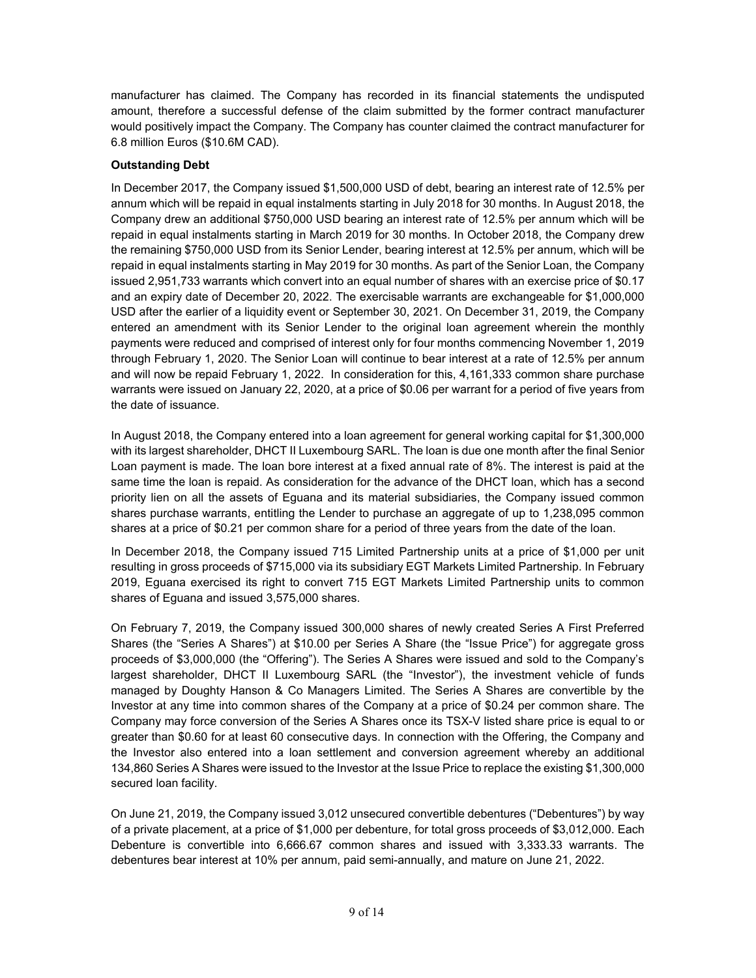manufacturer has claimed. The Company has recorded in its financial statements the undisputed amount, therefore a successful defense of the claim submitted by the former contract manufacturer would positively impact the Company. The Company has counter claimed the contract manufacturer for 6.8 million Euros (\$10.6M CAD).

# **Outstanding Debt**

In December 2017, the Company issued \$1,500,000 USD of debt, bearing an interest rate of 12.5% per annum which will be repaid in equal instalments starting in July 2018 for 30 months. In August 2018, the Company drew an additional \$750,000 USD bearing an interest rate of 12.5% per annum which will be repaid in equal instalments starting in March 2019 for 30 months. In October 2018, the Company drew the remaining \$750,000 USD from its Senior Lender, bearing interest at 12.5% per annum, which will be repaid in equal instalments starting in May 2019 for 30 months. As part of the Senior Loan, the Company issued 2,951,733 warrants which convert into an equal number of shares with an exercise price of \$0.17 and an expiry date of December 20, 2022. The exercisable warrants are exchangeable for \$1,000,000 USD after the earlier of a liquidity event or September 30, 2021. On December 31, 2019, the Company entered an amendment with its Senior Lender to the original loan agreement wherein the monthly payments were reduced and comprised of interest only for four months commencing November 1, 2019 through February 1, 2020. The Senior Loan will continue to bear interest at a rate of 12.5% per annum and will now be repaid February 1, 2022. In consideration for this, 4,161,333 common share purchase warrants were issued on January 22, 2020, at a price of \$0.06 per warrant for a period of five years from the date of issuance.

In August 2018, the Company entered into a loan agreement for general working capital for \$1,300,000 with its largest shareholder, DHCT II Luxembourg SARL. The loan is due one month after the final Senior Loan payment is made. The loan bore interest at a fixed annual rate of 8%. The interest is paid at the same time the loan is repaid. As consideration for the advance of the DHCT loan, which has a second priority lien on all the assets of Eguana and its material subsidiaries, the Company issued common shares purchase warrants, entitling the Lender to purchase an aggregate of up to 1,238,095 common shares at a price of \$0.21 per common share for a period of three years from the date of the loan.

In December 2018, the Company issued 715 Limited Partnership units at a price of \$1,000 per unit resulting in gross proceeds of \$715,000 via its subsidiary EGT Markets Limited Partnership. In February 2019, Eguana exercised its right to convert 715 EGT Markets Limited Partnership units to common shares of Eguana and issued 3,575,000 shares.

On February 7, 2019, the Company issued 300,000 shares of newly created Series A First Preferred Shares (the "Series A Shares") at \$10.00 per Series A Share (the "Issue Price") for aggregate gross proceeds of \$3,000,000 (the "Offering"). The Series A Shares were issued and sold to the Company's largest shareholder, DHCT II Luxembourg SARL (the "Investor"), the investment vehicle of funds managed by Doughty Hanson & Co Managers Limited. The Series A Shares are convertible by the Investor at any time into common shares of the Company at a price of \$0.24 per common share. The Company may force conversion of the Series A Shares once its TSX-V listed share price is equal to or greater than \$0.60 for at least 60 consecutive days. In connection with the Offering, the Company and the Investor also entered into a loan settlement and conversion agreement whereby an additional 134,860 Series A Shares were issued to the Investor at the Issue Price to replace the existing \$1,300,000 secured loan facility.

On June 21, 2019, the Company issued 3,012 unsecured convertible debentures ("Debentures") by way of a private placement, at a price of \$1,000 per debenture, for total gross proceeds of \$3,012,000. Each Debenture is convertible into 6,666.67 common shares and issued with 3,333.33 warrants. The debentures bear interest at 10% per annum, paid semi-annually, and mature on June 21, 2022.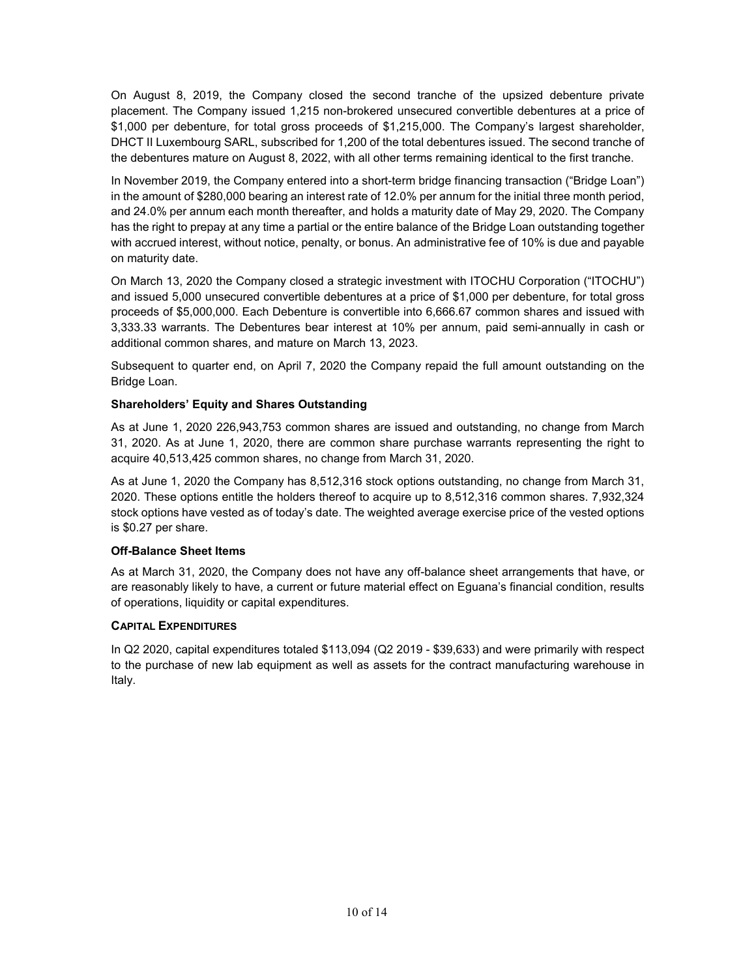On August 8, 2019, the Company closed the second tranche of the upsized debenture private placement. The Company issued 1,215 non-brokered unsecured convertible debentures at a price of \$1,000 per debenture, for total gross proceeds of \$1,215,000. The Company's largest shareholder, DHCT II Luxembourg SARL, subscribed for 1,200 of the total debentures issued. The second tranche of the debentures mature on August 8, 2022, with all other terms remaining identical to the first tranche.

In November 2019, the Company entered into a short-term bridge financing transaction ("Bridge Loan") in the amount of \$280,000 bearing an interest rate of 12.0% per annum for the initial three month period, and 24.0% per annum each month thereafter, and holds a maturity date of May 29, 2020. The Company has the right to prepay at any time a partial or the entire balance of the Bridge Loan outstanding together with accrued interest, without notice, penalty, or bonus. An administrative fee of 10% is due and payable on maturity date.

On March 13, 2020 the Company closed a strategic investment with ITOCHU Corporation ("ITOCHU") and issued 5,000 unsecured convertible debentures at a price of \$1,000 per debenture, for total gross proceeds of \$5,000,000. Each Debenture is convertible into 6,666.67 common shares and issued with 3,333.33 warrants. The Debentures bear interest at 10% per annum, paid semi-annually in cash or additional common shares, and mature on March 13, 2023.

Subsequent to quarter end, on April 7, 2020 the Company repaid the full amount outstanding on the Bridge Loan.

## **Shareholders' Equity and Shares Outstanding**

As at June 1, 2020 226,943,753 common shares are issued and outstanding, no change from March 31, 2020. As at June 1, 2020, there are common share purchase warrants representing the right to acquire 40,513,425 common shares, no change from March 31, 2020.

As at June 1, 2020 the Company has 8,512,316 stock options outstanding, no change from March 31, 2020. These options entitle the holders thereof to acquire up to 8,512,316 common shares. 7,932,324 stock options have vested as of today's date. The weighted average exercise price of the vested options is \$0.27 per share.

#### **Off-Balance Sheet Items**

As at March 31, 2020, the Company does not have any off-balance sheet arrangements that have, or are reasonably likely to have, a current or future material effect on Eguana's financial condition, results of operations, liquidity or capital expenditures.

#### **CAPITAL EXPENDITURES**

In Q2 2020, capital expenditures totaled \$113,094 (Q2 2019 - \$39,633) and were primarily with respect to the purchase of new lab equipment as well as assets for the contract manufacturing warehouse in Italy.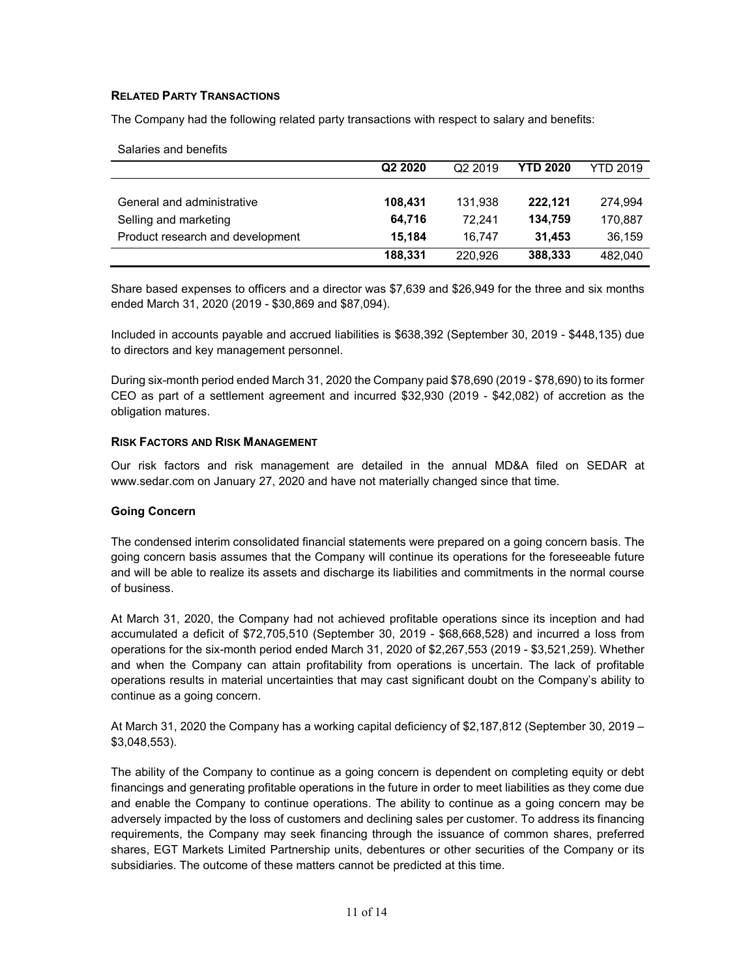## **RELATED PARTY TRANSACTIONS**

Salaries and benefits

The Company had the following related party transactions with respect to salary and benefits:

| <b>UGIQUIUS QUU DUIUIUS</b>      |                     |                     |                 |                 |
|----------------------------------|---------------------|---------------------|-----------------|-----------------|
|                                  | Q <sub>2</sub> 2020 | Q <sub>2</sub> 2019 | <b>YTD 2020</b> | <b>YTD 2019</b> |
|                                  |                     |                     |                 |                 |
| General and administrative       | 108,431             | 131.938             | 222.121         | 274.994         |
| Selling and marketing            | 64.716              | 72.241              | 134,759         | 170,887         |
| Product research and development | 15.184              | 16.747              | 31.453          | 36,159          |
|                                  | 188,331             | 220.926             | 388,333         | 482.040         |

Share based expenses to officers and a director was \$7,639 and \$26,949 for the three and six months ended March 31, 2020 (2019 - \$30,869 and \$87,094).

Included in accounts payable and accrued liabilities is \$638,392 (September 30, 2019 - \$448,135) due to directors and key management personnel.

During six-month period ended March 31, 2020 the Company paid \$78,690 (2019 - \$78,690) to its former CEO as part of a settlement agreement and incurred \$32,930 (2019 - \$42,082) of accretion as the obligation matures.

#### **RISK FACTORS AND RISK MANAGEMENT**

Our risk factors and risk management are detailed in the annual MD&A filed on SEDAR at [www.sedar.com](http://www.sedar.com/) on January 27, 2020 and have not materially changed since that time.

#### **Going Concern**

The condensed interim consolidated financial statements were prepared on a going concern basis. The going concern basis assumes that the Company will continue its operations for the foreseeable future and will be able to realize its assets and discharge its liabilities and commitments in the normal course of business.

At March 31, 2020, the Company had not achieved profitable operations since its inception and had accumulated a deficit of \$72,705,510 (September 30, 2019 - \$68,668,528) and incurred a loss from operations for the six-month period ended March 31, 2020 of \$2,267,553 (2019 - \$3,521,259). Whether and when the Company can attain profitability from operations is uncertain. The lack of profitable operations results in material uncertainties that may cast significant doubt on the Company's ability to continue as a going concern.

At March 31, 2020 the Company has a working capital deficiency of \$2,187,812 (September 30, 2019 – \$3,048,553).

The ability of the Company to continue as a going concern is dependent on completing equity or debt financings and generating profitable operations in the future in order to meet liabilities as they come due and enable the Company to continue operations. The ability to continue as a going concern may be adversely impacted by the loss of customers and declining sales per customer. To address its financing requirements, the Company may seek financing through the issuance of common shares, preferred shares, EGT Markets Limited Partnership units, debentures or other securities of the Company or its subsidiaries. The outcome of these matters cannot be predicted at this time.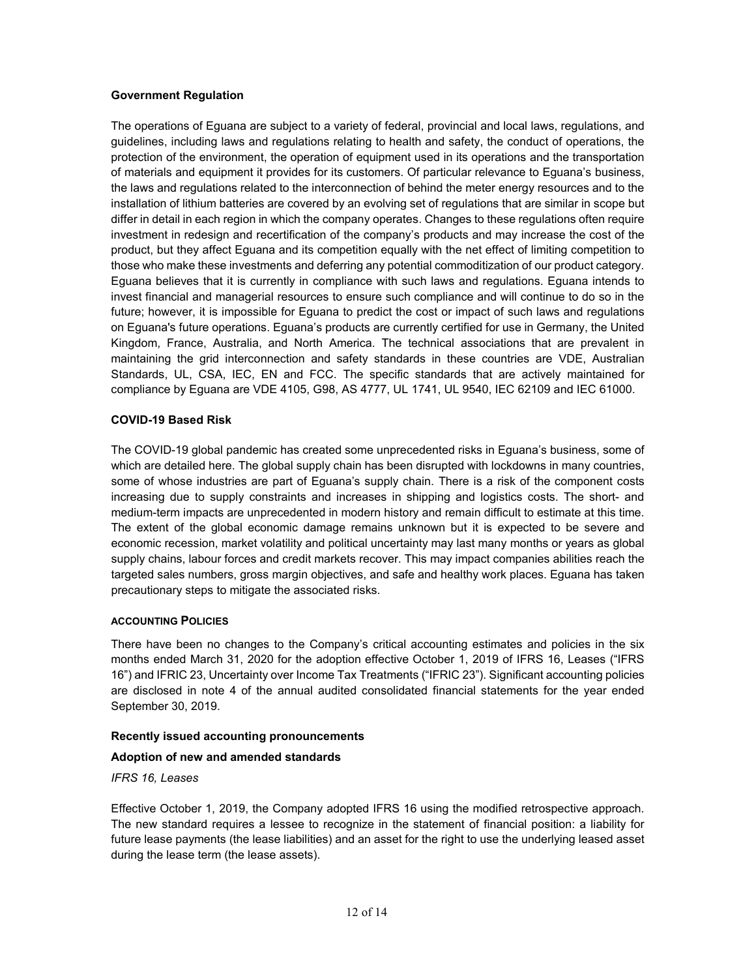## **Government Regulation**

The operations of Eguana are subject to a variety of federal, provincial and local laws, regulations, and guidelines, including laws and regulations relating to health and safety, the conduct of operations, the protection of the environment, the operation of equipment used in its operations and the transportation of materials and equipment it provides for its customers. Of particular relevance to Eguana's business, the laws and regulations related to the interconnection of behind the meter energy resources and to the installation of lithium batteries are covered by an evolving set of regulations that are similar in scope but differ in detail in each region in which the company operates. Changes to these regulations often require investment in redesign and recertification of the company's products and may increase the cost of the product, but they affect Eguana and its competition equally with the net effect of limiting competition to those who make these investments and deferring any potential commoditization of our product category. Eguana believes that it is currently in compliance with such laws and regulations. Eguana intends to invest financial and managerial resources to ensure such compliance and will continue to do so in the future; however, it is impossible for Eguana to predict the cost or impact of such laws and regulations on Eguana's future operations. Eguana's products are currently certified for use in Germany, the United Kingdom, France, Australia, and North America. The technical associations that are prevalent in maintaining the grid interconnection and safety standards in these countries are VDE, Australian Standards, UL, CSA, IEC, EN and FCC. The specific standards that are actively maintained for compliance by Eguana are VDE 4105, G98, AS 4777, UL 1741, UL 9540, IEC 62109 and IEC 61000.

#### **COVID-19 Based Risk**

The COVID-19 global pandemic has created some unprecedented risks in Eguana's business, some of which are detailed here. The global supply chain has been disrupted with lockdowns in many countries, some of whose industries are part of Eguana's supply chain. There is a risk of the component costs increasing due to supply constraints and increases in shipping and logistics costs. The short- and medium-term impacts are unprecedented in modern history and remain difficult to estimate at this time. The extent of the global economic damage remains unknown but it is expected to be severe and economic recession, market volatility and political uncertainty may last many months or years as global supply chains, labour forces and credit markets recover. This may impact companies abilities reach the targeted sales numbers, gross margin objectives, and safe and healthy work places. Eguana has taken precautionary steps to mitigate the associated risks.

#### **ACCOUNTING POLICIES**

There have been no changes to the Company's critical accounting estimates and policies in the six months ended March 31, 2020 for the adoption effective October 1, 2019 of IFRS 16, Leases ("IFRS 16") and IFRIC 23, Uncertainty over Income Tax Treatments ("IFRIC 23"). Significant accounting policies are disclosed in note 4 of the annual audited consolidated financial statements for the year ended September 30, 2019.

#### **Recently issued accounting pronouncements**

# **Adoption of new and amended standards**

#### *IFRS 16, Leases*

Effective October 1, 2019, the Company adopted IFRS 16 using the modified retrospective approach. The new standard requires a lessee to recognize in the statement of financial position: a liability for future lease payments (the lease liabilities) and an asset for the right to use the underlying leased asset during the lease term (the lease assets).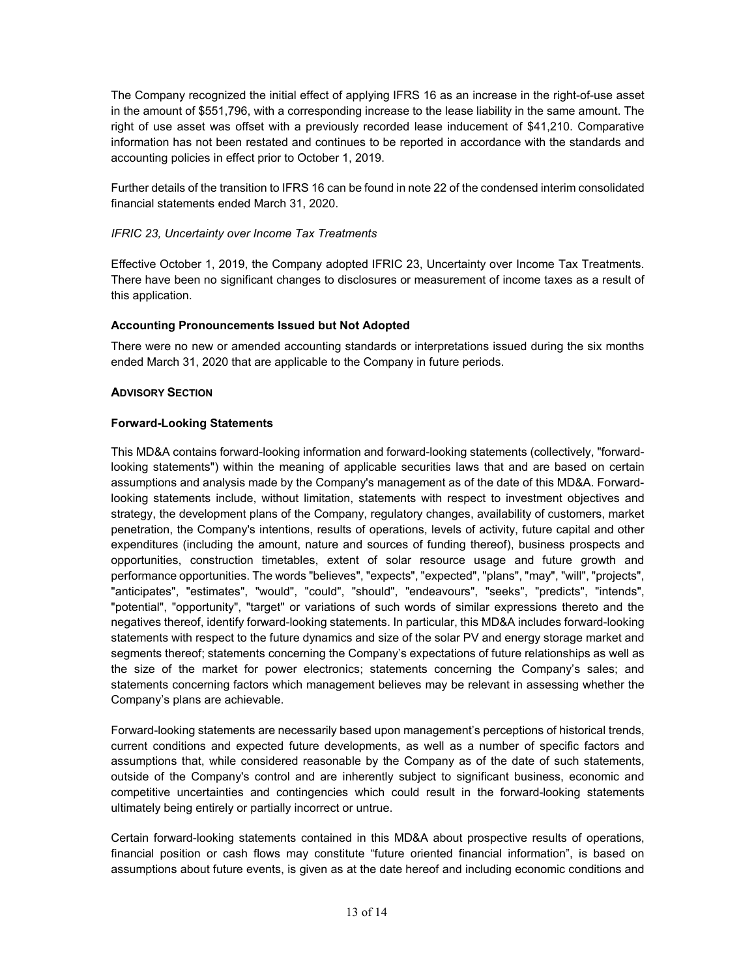The Company recognized the initial effect of applying IFRS 16 as an increase in the right-of-use asset in the amount of \$551,796, with a corresponding increase to the lease liability in the same amount. The right of use asset was offset with a previously recorded lease inducement of \$41,210. Comparative information has not been restated and continues to be reported in accordance with the standards and accounting policies in effect prior to October 1, 2019.

Further details of the transition to IFRS 16 can be found in note 22 of the condensed interim consolidated financial statements ended March 31, 2020.

# *IFRIC 23, Uncertainty over Income Tax Treatments*

Effective October 1, 2019, the Company adopted IFRIC 23, Uncertainty over Income Tax Treatments. There have been no significant changes to disclosures or measurement of income taxes as a result of this application.

# **Accounting Pronouncements Issued but Not Adopted**

There were no new or amended accounting standards or interpretations issued during the six months ended March 31, 2020 that are applicable to the Company in future periods.

## **ADVISORY SECTION**

## **Forward-Looking Statements**

This MD&A contains forward-looking information and forward-looking statements (collectively, "forwardlooking statements") within the meaning of applicable securities laws that and are based on certain assumptions and analysis made by the Company's management as of the date of this MD&A. Forwardlooking statements include, without limitation, statements with respect to investment objectives and strategy, the development plans of the Company, regulatory changes, availability of customers, market penetration, the Company's intentions, results of operations, levels of activity, future capital and other expenditures (including the amount, nature and sources of funding thereof), business prospects and opportunities, construction timetables, extent of solar resource usage and future growth and performance opportunities. The words "believes", "expects", "expected", "plans", "may", "will", "projects", "anticipates", "estimates", "would", "could", "should", "endeavours", "seeks", "predicts", "intends", "potential", "opportunity", "target" or variations of such words of similar expressions thereto and the negatives thereof, identify forward-looking statements. In particular, this MD&A includes forward-looking statements with respect to the future dynamics and size of the solar PV and energy storage market and segments thereof; statements concerning the Company's expectations of future relationships as well as the size of the market for power electronics; statements concerning the Company's sales; and statements concerning factors which management believes may be relevant in assessing whether the Company's plans are achievable.

Forward-looking statements are necessarily based upon management's perceptions of historical trends, current conditions and expected future developments, as well as a number of specific factors and assumptions that, while considered reasonable by the Company as of the date of such statements, outside of the Company's control and are inherently subject to significant business, economic and competitive uncertainties and contingencies which could result in the forward-looking statements ultimately being entirely or partially incorrect or untrue.

Certain forward-looking statements contained in this MD&A about prospective results of operations, financial position or cash flows may constitute "future oriented financial information", is based on assumptions about future events, is given as at the date hereof and including economic conditions and